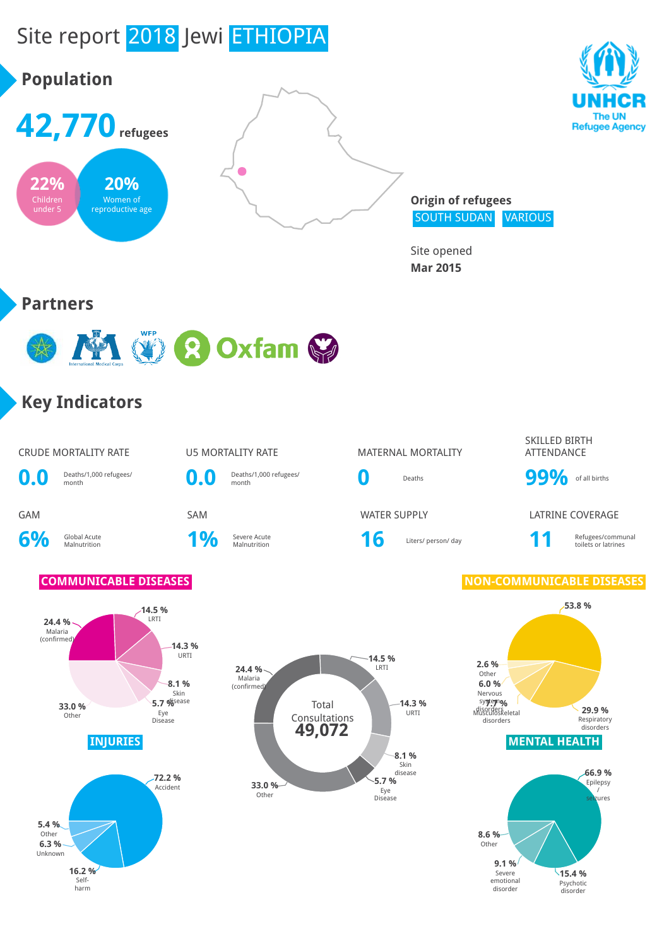

**15.4 %** Psychotic disorder

Severe emotional disorder

**16.2 %**

Selfharm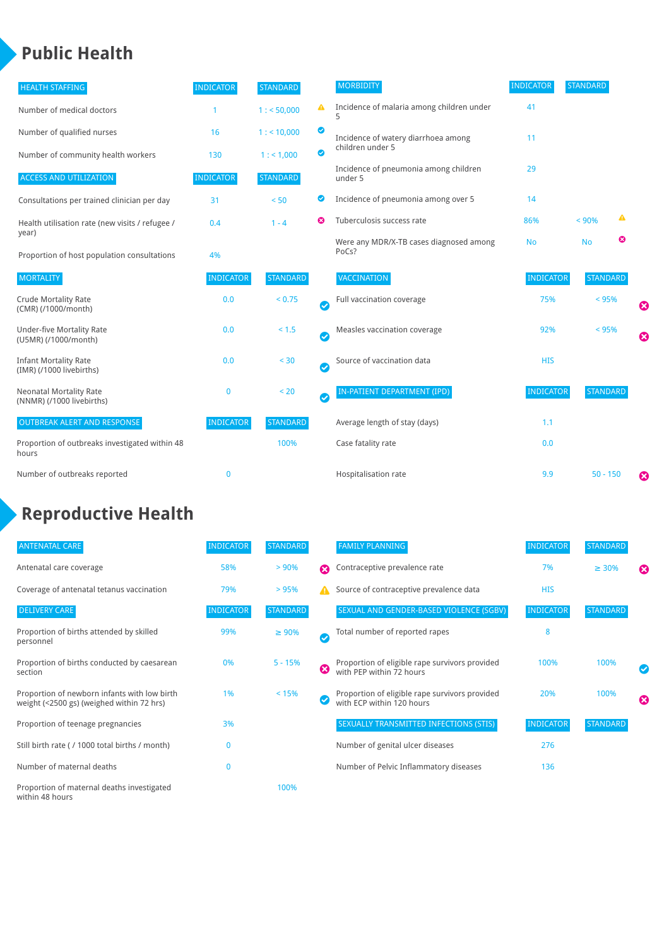### **Public Health**

| <b>HEALTH STAFFING</b>                                      | <b>INDICATOR</b> | <b>STANDARD</b> |           | <b>MORBIDITY</b>                                 | <b>INDICATOR</b> | <b>STANDARD</b> |   |                       |
|-------------------------------------------------------------|------------------|-----------------|-----------|--------------------------------------------------|------------------|-----------------|---|-----------------------|
| Number of medical doctors                                   |                  | 1: 50,000       | ▲         | Incidence of malaria among children under        | 41               |                 |   |                       |
| Number of qualified nurses                                  | 16               | $1:$ < 10,000   | ◎         | Incidence of watery diarrhoea among              | 11               |                 |   |                       |
| Number of community health workers                          | 130              | 1: 1,000        | ◙         | children under 5                                 |                  |                 |   |                       |
| <b>ACCESS AND UTILIZATION</b>                               | <b>INDICATOR</b> | <b>STANDARD</b> |           | Incidence of pneumonia among children<br>under 5 | 29               |                 |   |                       |
| Consultations per trained clinician per day                 | 31               | < 50            | ◙         | Incidence of pneumonia among over 5              | 14               |                 |   |                       |
| Health utilisation rate (new visits / refugee /             | 0.4              | $1 - 4$         | ణ         | Tuberculosis success rate                        | 86%              | < 90%           | ▲ |                       |
| year)<br>Proportion of host population consultations        | 4%               |                 |           | Were any MDR/X-TB cases diagnosed among<br>PoCs? | <b>No</b>        | <b>No</b>       | ☺ |                       |
| <b>MORTALITY</b>                                            | <b>INDICATOR</b> | <b>STANDARD</b> |           | <b>VACCINATION</b>                               | <b>INDICATOR</b> | <b>STANDARD</b> |   |                       |
| <b>Crude Mortality Rate</b><br>(CMR) (/1000/month)          | 0.0              | < 0.75          | Ø         | Full vaccination coverage                        | 75%              | < 95%           |   | Ø                     |
| <b>Under-five Mortality Rate</b><br>(U5MR) (/1000/month)    | 0.0              | $< 1.5$         | $\bullet$ | Measles vaccination coverage                     | 92%              | < 95%           |   | $\boldsymbol{\Omega}$ |
| <b>Infant Mortality Rate</b><br>(IMR) (/1000 livebirths)    | 0.0              | < 30            | $\bullet$ | Source of vaccination data                       | <b>HIS</b>       |                 |   |                       |
| <b>Neonatal Mortality Rate</b><br>(NNMR) (/1000 livebirths) | $\mathbf 0$      | < 20            | $\bullet$ | <b>IN-PATIENT DEPARTMENT (IPD)</b>               | <b>INDICATOR</b> | <b>STANDARD</b> |   |                       |
| <b>OUTBREAK ALERT AND RESPONSE</b>                          | <b>INDICATOR</b> | <b>STANDARD</b> |           | Average length of stay (days)                    | 1.1              |                 |   |                       |
| Proportion of outbreaks investigated within 48<br>hours     |                  | 100%            |           | Case fatality rate                               | 0.0              |                 |   |                       |
| Number of outbreaks reported                                | $\mathbf 0$      |                 |           | Hospitalisation rate                             | 9.9              | $50 - 150$      |   | €                     |

# **Reproductive Health**

| <b>ANTENATAL CARE</b>                                                                     | <b>INDICATOR</b> | <b>STANDARD</b> |                       | <b>FAMILY PLANNING</b>                                                      | <b>INDICATOR</b> | <b>STANDARD</b> |                       |
|-------------------------------------------------------------------------------------------|------------------|-----------------|-----------------------|-----------------------------------------------------------------------------|------------------|-----------------|-----------------------|
| Antenatal care coverage                                                                   | 58%              | $> 90\%$        | $\boldsymbol{\Omega}$ | Contraceptive prevalence rate                                               | 7%               | $\geq 30\%$     | $\boldsymbol{\Omega}$ |
| Coverage of antenatal tetanus vaccination                                                 | 79%              | >95%            | А                     | Source of contraceptive prevalence data                                     | <b>HIS</b>       |                 |                       |
| <b>DELIVERY CARE</b>                                                                      | <b>INDICATOR</b> | <b>STANDARD</b> |                       | SEXUAL AND GENDER-BASED VIOLENCE (SGBV)                                     | <b>INDICATOR</b> | <b>STANDARD</b> |                       |
| Proportion of births attended by skilled<br>personnel                                     | 99%              | $\geq 90\%$     | $\checkmark$          | Total number of reported rapes                                              | 8                |                 |                       |
| Proportion of births conducted by caesarean<br>section                                    | 0%               | $5 - 15%$       | Ø                     | Proportion of eligible rape survivors provided<br>with PEP within 72 hours  | 100%             | 100%            | ✓                     |
| Proportion of newborn infants with low birth<br>weight (<2500 gs) (weighed within 72 hrs) | 1%               | < 15%           |                       | Proportion of eligible rape survivors provided<br>with ECP within 120 hours | 20%              | 100%            | $\boldsymbol{\Omega}$ |
| Proportion of teenage pregnancies                                                         | 3%               |                 |                       | SEXUALLY TRANSMITTED INFECTIONS (STIS)                                      | <b>INDICATOR</b> | <b>STANDARD</b> |                       |
| Still birth rate (/ 1000 total births / month)                                            | $\Omega$         |                 |                       | Number of genital ulcer diseases                                            | 276              |                 |                       |
| Number of maternal deaths                                                                 | $\mathbf{0}$     |                 |                       | Number of Pelvic Inflammatory diseases                                      | 136              |                 |                       |
| Proportion of maternal deaths investigated<br>within 48 hours                             |                  | 100%            |                       |                                                                             |                  |                 |                       |